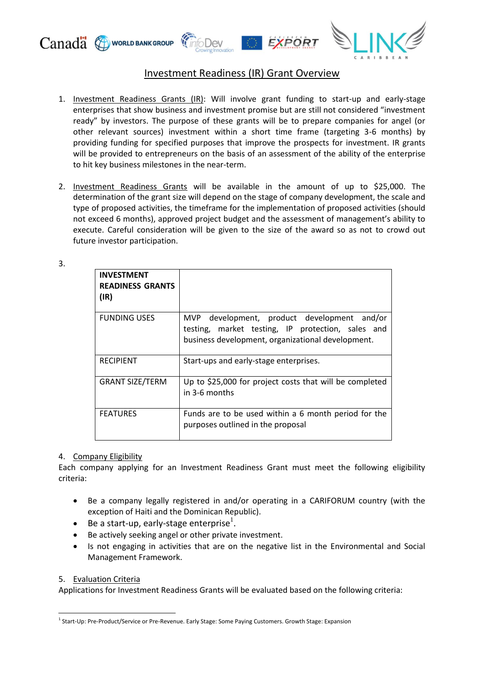

# Investment Readiness (IR) Grant Overview

- 1. Investment Readiness Grants (IR): Will involve grant funding to start-up and early-stage enterprises that show business and investment promise but are still not considered "investment ready" by investors. The purpose of these grants will be to prepare companies for angel (or other relevant sources) investment within a short time frame (targeting 3-6 months) by providing funding for specified purposes that improve the prospects for investment. IR grants will be provided to entrepreneurs on the basis of an assessment of the ability of the enterprise to hit key business milestones in the near-term.
- 2. Investment Readiness Grants will be available in the amount of up to \$25,000. The determination of the grant size will depend on the stage of company development, the scale and type of proposed activities, the timeframe for the implementation of proposed activities (should not exceed 6 months), approved project budget and the assessment of management's ability to execute. Careful consideration will be given to the size of the award so as not to crowd out future investor participation.

3.

| <b>INVESTMENT</b><br><b>READINESS GRANTS</b><br>(IR) |                                                                                                                                                       |
|------------------------------------------------------|-------------------------------------------------------------------------------------------------------------------------------------------------------|
| <b>FUNDING USES</b>                                  | MVP development, product development and/or<br>testing, market testing, IP protection, sales and<br>business development, organizational development. |
| <b>RECIPIENT</b>                                     | Start-ups and early-stage enterprises.                                                                                                                |
| <b>GRANT SIZE/TERM</b>                               | Up to \$25,000 for project costs that will be completed<br>in 3-6 months                                                                              |
| <b>FEATURES</b>                                      | Funds are to be used within a 6 month period for the<br>purposes outlined in the proposal                                                             |

## 4. Company Eligibility

Each company applying for an Investment Readiness Grant must meet the following eligibility criteria:

- Be a company legally registered in and/or operating in a CARIFORUM country (with the exception of Haiti and the Dominican Republic).
- Be a start-up, early-stage enterprise $^1$ .
- Be actively seeking angel or other private investment.
- Is not engaging in activities that are on the negative list in the Environmental and Social Management Framework.

## 5. Evaluation Criteria

 $\overline{a}$ 

Applications for Investment Readiness Grants will be evaluated based on the following criteria:

<sup>&</sup>lt;sup>1</sup> Start-Up: Pre-Product/Service or Pre-Revenue. Early Stage: Some Paying Customers. Growth Stage: Expansion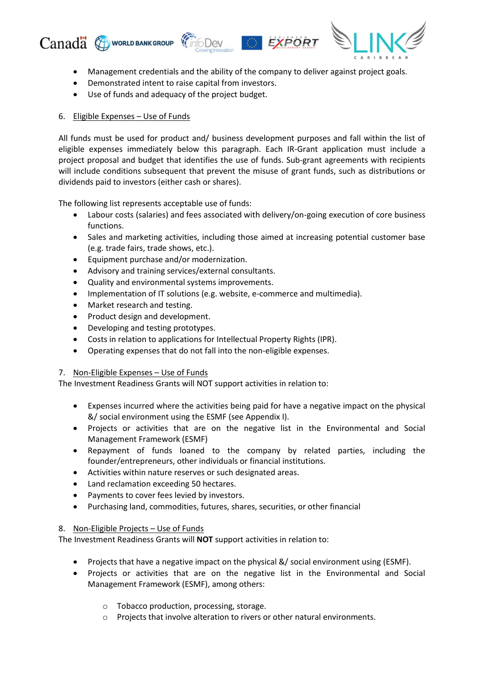





- Management credentials and the ability of the company to deliver against project goals.
- Demonstrated intent to raise capital from investors.
- Use of funds and adequacy of the project budget.

## 6. Eligible Expenses – Use of Funds

All funds must be used for product and/ business development purposes and fall within the list of eligible expenses immediately below this paragraph. Each IR-Grant application must include a project proposal and budget that identifies the use of funds. Sub-grant agreements with recipients will include conditions subsequent that prevent the misuse of grant funds, such as distributions or dividends paid to investors (either cash or shares).

The following list represents acceptable use of funds:

- Labour costs (salaries) and fees associated with delivery/on-going execution of core business functions.
- Sales and marketing activities, including those aimed at increasing potential customer base (e.g. trade fairs, trade shows, etc.).
- Equipment purchase and/or modernization.
- Advisory and training services/external consultants.
- Quality and environmental systems improvements.
- Implementation of IT solutions (e.g. website, e-commerce and multimedia).
- Market research and testing.
- Product design and development.
- Developing and testing prototypes.
- Costs in relation to applications for Intellectual Property Rights (IPR).
- Operating expenses that do not fall into the non-eligible expenses.

## 7. Non-Eligible Expenses – Use of Funds

The Investment Readiness Grants will NOT support activities in relation to:

- Expenses incurred where the activities being paid for have a negative impact on the physical &/ social environment using the ESMF (see Appendix I).
- Projects or activities that are on the negative list in the Environmental and Social Management Framework (ESMF)
- Repayment of funds loaned to the company by related parties, including the founder/entrepreneurs, other individuals or financial institutions.
- Activities within nature reserves or such designated areas.
- Land reclamation exceeding 50 hectares.
- Payments to cover fees levied by investors.
- Purchasing land, commodities, futures, shares, securities, or other financial

## 8. Non-Eligible Projects – Use of Funds

The Investment Readiness Grants will **NOT** support activities in relation to:

- Projects that have a negative impact on the physical &/ social environment using (ESMF).
- Projects or activities that are on the negative list in the Environmental and Social Management Framework (ESMF), among others:
	- o Tobacco production, processing, storage.
	- o Projects that involve alteration to rivers or other natural environments.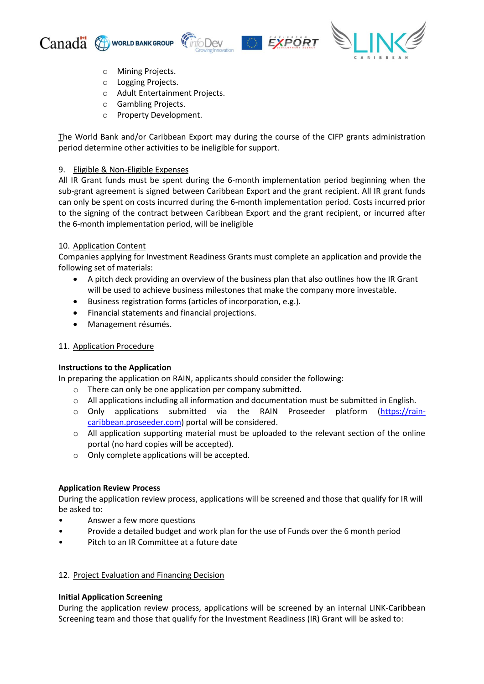







- o Mining Projects.
- o Logging Projects.
- o Adult Entertainment Projects.
- o Gambling Projects.
- o Property Development.

The World Bank and/or Caribbean Export may during the course of the CIFP grants administration period determine other activities to be ineligible for support.

#### 9. Eligible & Non-Eligible Expenses

All IR Grant funds must be spent during the 6-month implementation period beginning when the sub-grant agreement is signed between Caribbean Export and the grant recipient. All IR grant funds can only be spent on costs incurred during the 6-month implementation period. Costs incurred prior to the signing of the contract between Caribbean Export and the grant recipient, or incurred after the 6-month implementation period, will be ineligible

## 10. Application Content

Companies applying for Investment Readiness Grants must complete an application and provide the following set of materials:

- A pitch deck providing an overview of the business plan that also outlines how the IR Grant will be used to achieve business milestones that make the company more investable.
- Business registration forms (articles of incorporation, e.g.).
- Financial statements and financial projections.
- Management résumés.

## 11. Application Procedure

## **Instructions to the Application**

In preparing the application on RAIN, applicants should consider the following:

- o There can only be one application per company submitted.
- $\circ$  All applications including all information and documentation must be submitted in English.
- o Only applications submitted via the RAIN Proseeder platform [\(https://rain](https://rain-caribbean.proseeder.com/)[caribbean.proseeder.com\)](https://rain-caribbean.proseeder.com/) portal will be considered.
- $\circ$  All application supporting material must be uploaded to the relevant section of the online portal (no hard copies will be accepted).
- o Only complete applications will be accepted.

## **Application Review Process**

During the application review process, applications will be screened and those that qualify for IR will be asked to:

- Answer a few more questions
- Provide a detailed budget and work plan for the use of Funds over the 6 month period
- Pitch to an IR Committee at a future date

## 12. Project Evaluation and Financing Decision

## **Initial Application Screening**

During the application review process, applications will be screened by an internal LINK-Caribbean Screening team and those that qualify for the Investment Readiness (IR) Grant will be asked to: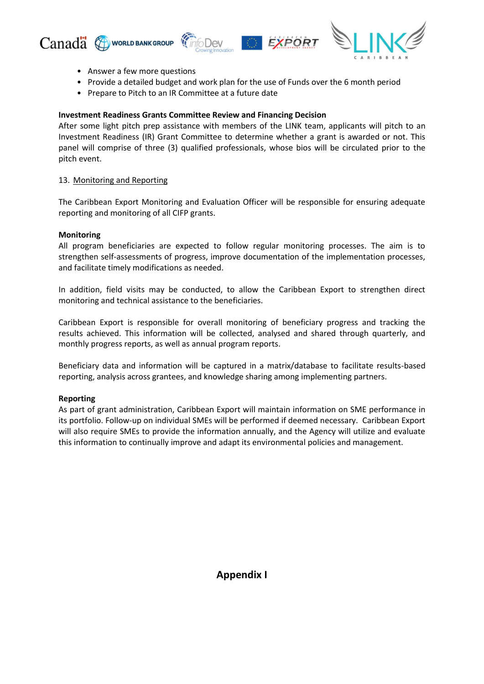

- Answer a few more questions
- Provide a detailed budget and work plan for the use of Funds over the 6 month period
- Prepare to Pitch to an IR Committee at a future date

## **Investment Readiness Grants Committee Review and Financing Decision**

After some light pitch prep assistance with members of the LINK team, applicants will pitch to an Investment Readiness (IR) Grant Committee to determine whether a grant is awarded or not. This panel will comprise of three (3) qualified professionals, whose bios will be circulated prior to the pitch event.

## 13. Monitoring and Reporting

The Caribbean Export Monitoring and Evaluation Officer will be responsible for ensuring adequate reporting and monitoring of all CIFP grants.

#### **Monitoring**

All program beneficiaries are expected to follow regular monitoring processes. The aim is to strengthen self-assessments of progress, improve documentation of the implementation processes, and facilitate timely modifications as needed.

In addition, field visits may be conducted, to allow the Caribbean Export to strengthen direct monitoring and technical assistance to the beneficiaries.

Caribbean Export is responsible for overall monitoring of beneficiary progress and tracking the results achieved. This information will be collected, analysed and shared through quarterly, and monthly progress reports, as well as annual program reports.

Beneficiary data and information will be captured in a matrix/database to facilitate results-based reporting, analysis across grantees, and knowledge sharing among implementing partners.

## **Reporting**

As part of grant administration, Caribbean Export will maintain information on SME performance in its portfolio. Follow-up on individual SMEs will be performed if deemed necessary. Caribbean Export will also require SMEs to provide the information annually, and the Agency will utilize and evaluate this information to continually improve and adapt its environmental policies and management.

**Appendix I**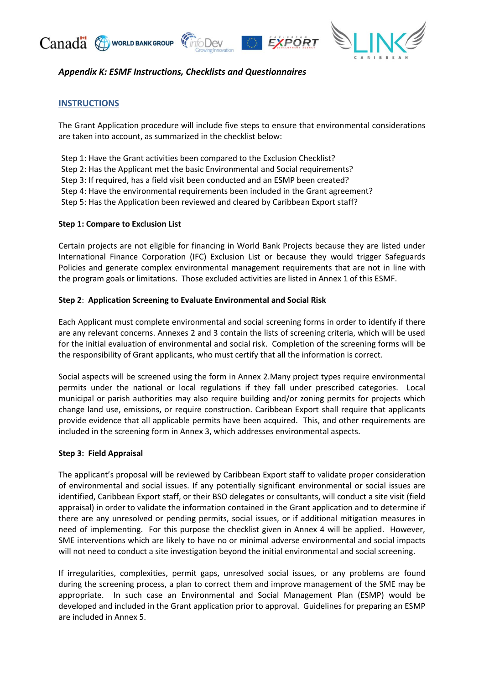





## *Appendix K: ESMF Instructions, Checklists and Questionnaires*

## **INSTRUCTIONS**

The Grant Application procedure will include five steps to ensure that environmental considerations are taken into account, as summarized in the checklist below:

Step 1: Have the Grant activities been compared to the Exclusion Checklist? Step 2: Has the Applicant met the basic Environmental and Social requirements? Step 3: If required, has a field visit been conducted and an ESMP been created? Step 4: Have the environmental requirements been included in the Grant agreement? Step 5: Has the Application been reviewed and cleared by Caribbean Export staff?

## **Step 1: Compare to Exclusion List**

Certain projects are not eligible for financing in World Bank Projects because they are listed under International Finance Corporation (IFC) Exclusion List or because they would trigger Safeguards Policies and generate complex environmental management requirements that are not in line with the program goals or limitations. Those excluded activities are listed in Annex 1 of this ESMF.

## **Step 2**: **Application Screening to Evaluate Environmental and Social Risk**

Each Applicant must complete environmental and social screening forms in order to identify if there are any relevant concerns. Annexes 2 and 3 contain the lists of screening criteria, which will be used for the initial evaluation of environmental and social risk. Completion of the screening forms will be the responsibility of Grant applicants, who must certify that all the information is correct.

Social aspects will be screened using the form in Annex 2.Many project types require environmental permits under the national or local regulations if they fall under prescribed categories. Local municipal or parish authorities may also require building and/or zoning permits for projects which change land use, emissions, or require construction. Caribbean Export shall require that applicants provide evidence that all applicable permits have been acquired. This, and other requirements are included in the screening form in Annex 3, which addresses environmental aspects.

## **Step 3: Field Appraisal**

The applicant's proposal will be reviewed by Caribbean Export staff to validate proper consideration of environmental and social issues. If any potentially significant environmental or social issues are identified, Caribbean Export staff, or their BSO delegates or consultants, will conduct a site visit (field appraisal) in order to validate the information contained in the Grant application and to determine if there are any unresolved or pending permits, social issues, or if additional mitigation measures in need of implementing. For this purpose the checklist given in Annex 4 will be applied. However, SME interventions which are likely to have no or minimal adverse environmental and social impacts will not need to conduct a site investigation beyond the initial environmental and social screening.

If irregularities, complexities, permit gaps, unresolved social issues, or any problems are found during the screening process, a plan to correct them and improve management of the SME may be appropriate. In such case an Environmental and Social Management Plan (ESMP) would be developed and included in the Grant application prior to approval. Guidelines for preparing an ESMP are included in Annex 5.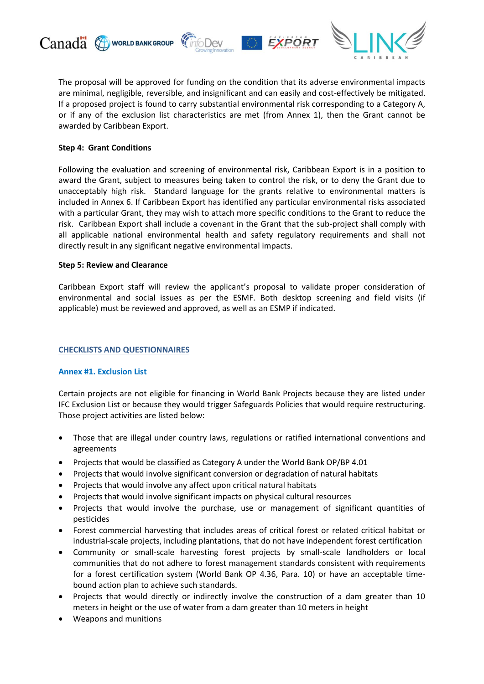

**EXPORT** 



The proposal will be approved for funding on the condition that its adverse environmental impacts are minimal, negligible, reversible, and insignificant and can easily and cost-effectively be mitigated. If a proposed project is found to carry substantial environmental risk corresponding to a Category A, or if any of the exclusion list characteristics are met (from Annex 1), then the Grant cannot be awarded by Caribbean Export.

*foDev* 

## **Step 4: Grant Conditions**

Following the evaluation and screening of environmental risk, Caribbean Export is in a position to award the Grant, subject to measures being taken to control the risk, or to deny the Grant due to unacceptably high risk. Standard language for the grants relative to environmental matters is included in Annex 6. If Caribbean Export has identified any particular environmental risks associated with a particular Grant, they may wish to attach more specific conditions to the Grant to reduce the risk. Caribbean Export shall include a covenant in the Grant that the sub-project shall comply with all applicable national environmental health and safety regulatory requirements and shall not directly result in any significant negative environmental impacts.

#### **Step 5: Review and Clearance**

Caribbean Export staff will review the applicant's proposal to validate proper consideration of environmental and social issues as per the ESMF. Both desktop screening and field visits (if applicable) must be reviewed and approved, as well as an ESMP if indicated.

## **CHECKLISTS AND QUESTIONNAIRES**

## **Annex #1. Exclusion List**

Certain projects are not eligible for financing in World Bank Projects because they are listed under IFC Exclusion List or because they would trigger Safeguards Policies that would require restructuring. Those project activities are listed below:

- Those that are illegal under country laws, regulations or ratified international conventions and agreements
- Projects that would be classified as Category A under the World Bank OP/BP 4.01
- Projects that would involve significant conversion or degradation of natural habitats
- Projects that would involve any affect upon critical natural habitats
- Projects that would involve significant impacts on physical cultural resources
- Projects that would involve the purchase, use or management of significant quantities of pesticides
- Forest commercial harvesting that includes areas of critical forest or related critical habitat or industrial-scale projects, including plantations, that do not have independent forest certification
- Community or small-scale harvesting forest projects by small-scale landholders or local communities that do not adhere to forest management standards consistent with requirements for a forest certification system (World Bank OP 4.36, Para. 10) or have an acceptable timebound action plan to achieve such standards.
- Projects that would directly or indirectly involve the construction of a dam greater than 10 meters in height or the use of water from a dam greater than 10 meters in height
- Weapons and munitions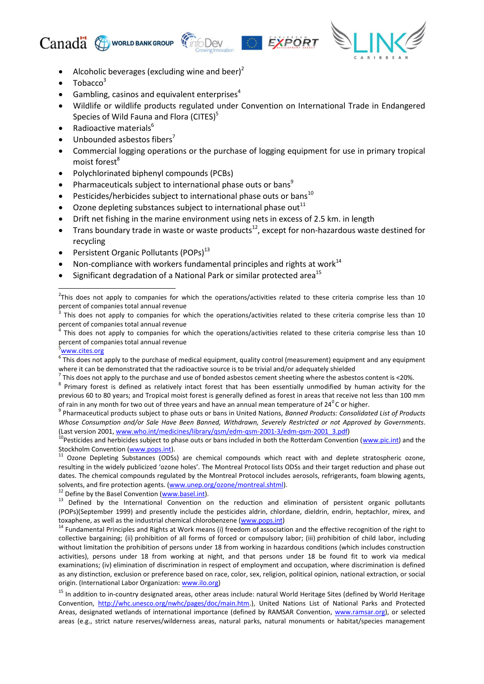





- Alcoholic beverages (excluding wine and beer)<sup>2</sup>
- Tobacco<sup>3</sup>
- Gambling, casinos and equivalent enterprises $4$
- Wildlife or wildlife products regulated under Convention on International Trade in Endangered Species of Wild Fauna and Flora (CITES) $<sup>5</sup>$ </sup>
- Radioactive materials<sup>6</sup>
- Unbounded asbestos fibers<sup>7</sup>
- Commercial logging operations or the purchase of logging equipment for use in primary tropical moist forest<sup>8</sup>
- Polychlorinated biphenyl compounds (PCBs)
- Pharmaceuticals subject to international phase outs or bans<sup>9</sup>
- Pesticides/herbicides subject to international phase outs or bans<sup>10</sup>
- Ozone depleting substances subject to international phase out<sup>11</sup>
- Drift net fishing in the marine environment using nets in excess of 2.5 km. in length
- Trans boundary trade in waste or waste products<sup>12</sup>, except for non-hazardous waste destined for recycling
- Persistent Organic Pollutants (POPs)<sup>13</sup>
- Non-compliance with workers fundamental principles and rights at work $^{14}$
- Significant degradation of a National Park or similar protected area<sup>15</sup>

#### [www.cites.org](http://www.cites.org/)

**.** 

 $^7$  This does not apply to the purchase and use of bonded asbestos cement sheeting where the asbestos content is <20%.

<sup>12</sup> Define by the Basel Convention [\(www.basel.int\)](http://www.basel.int/).

 $2$ This does not apply to companies for which the operations/activities related to these criteria comprise less than 10 percent of companies total annual revenue<br><sup>3</sup> This does not annu to companies for u

This does not apply to companies for which the operations/activities related to these criteria comprise less than 10 percent of companies total annual revenue<br><sup>4</sup> This does not annu to companies for u

This does not apply to companies for which the operations/activities related to these criteria comprise less than 10 percent of companies total annual revenue

 $^6$  This does not apply to the purchase of medical equipment, quality control (measurement) equipment and any equipment where it can be demonstrated that the radioactive source is to be trivial and/or adequately shielded

<sup>&</sup>lt;sup>8</sup> Primary forest is defined as relatively intact forest that has been essentially unmodified by human activity for the previous 60 to 80 years; and Tropical moist forest is generally defined as forest in areas that receive not less than 100 mm of rain in any month for two out of three years and have an annual mean temperature of  $24^{\circ}$ C or higher.

<sup>9</sup> Pharmaceutical products subject to phase outs or bans in United Nations, *Banned Products: Consolidated List of Products Whose Consumption and/or Sale Have Been Banned, Withdrawn, Severely Restricted or not Approved by Governments*. (Last version 2001[, www.who.int/medicines/library/qsm/edm-qsm-2001-3/edm-qsm-2001\\_3.pdf\)](http://www.who.int/medicines/library/qsm/edm-qsm-2001-3/edm-qsm-2001_3.pdf)

<sup>&</sup>lt;sup>10</sup>Pesticides and herbicides subject to phase outs or bans included in both the Rotterdam Convention [\(www.pic.int\)](http://www.pic.int/) and the Stockholm Convention [\(www.pops.int\)](http://www.pops.int/).

<sup>11</sup> Ozone Depleting Substances (ODSs) are chemical compounds which react with and deplete stratospheric ozone, resulting in the widely publicized 'ozone holes'. The Montreal Protocol lists ODSs and their target reduction and phase out dates. The chemical compounds regulated by the Montreal Protocol includes aerosols, refrigerants, foam blowing agents, solvents, and fire protection agents. [\(www.unep.org/ozone/montreal.shtml\)](http://www.unep.org/ozone/montreal.shtml).

<sup>&</sup>lt;sup>13</sup> Defined by the International Convention on the reduction and elimination of persistent organic pollutants (POPs)(September 1999) and presently include the pesticides aldrin, chlordane, dieldrin, endrin, heptachlor, mirex, and toxaphene, as well as the industrial chemical chlorobenzene [\(www.pops.int\)](http://www.pops.int/)

<sup>&</sup>lt;sup>14</sup> Fundamental Principles and Rights at Work means (i) freedom of association and the effective recognition of the right to collective bargaining; (ii) prohibition of all forms of forced or compulsory labor; (iii) prohibition of child labor, including without limitation the prohibition of persons under 18 from working in hazardous conditions (which includes construction activities), persons under 18 from working at night, and that persons under 18 be found fit to work via medical examinations; (iv) elimination of discrimination in respect of employment and occupation, where discrimination is defined as any distinction, exclusion or preference based on race, color, sex, religion, political opinion, national extraction, or social origin. (International Labor Organization[: www.ilo.org\)](http://www.ilo.org/)

<sup>&</sup>lt;sup>15</sup> In addition to in-country designated areas, other areas include: natural World Heritage Sites (defined by World Heritage Convention, [http://whc.unesco.org/nwhc/pages/doc/main.htm.](http://whc.unesco.org/nwhc/pages/doc/main.htm)), United Nations List of National Parks and Protected Areas, designated wetlands of international importance (defined by RAMSAR Convention, [www.ramsar.org\)](http://www.ramsar.org/), or selected areas (e.g., strict nature reserves/wilderness areas, natural parks, natural monuments or habitat/species management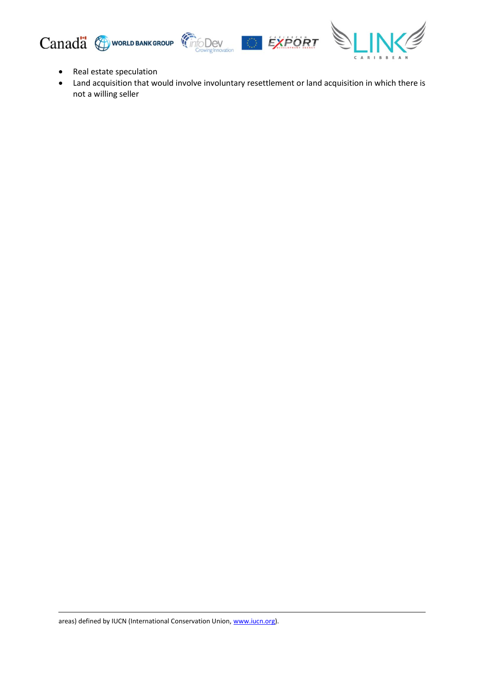





- Real estate speculation
- Land acquisition that would involve involuntary resettlement or land acquisition in which there is not a willing seller

**.**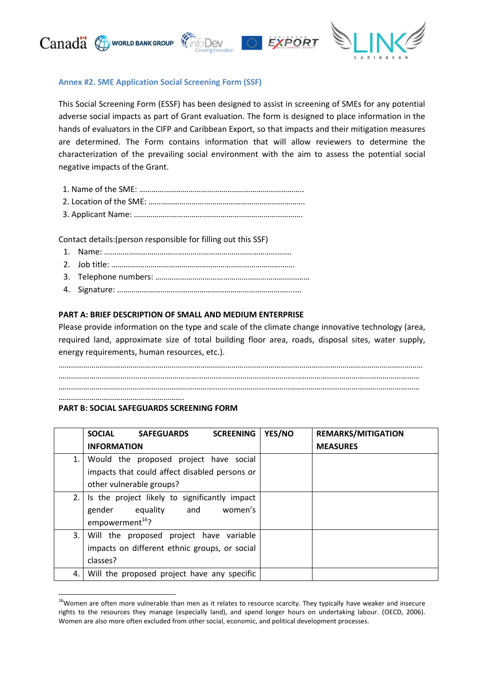

## **Annex #2. SME Application Social Screening Form (SSF)**

This Social Screening Form (ESSF) has been designed to assist in screening of SMEs for any potential adverse social impacts as part of Grant evaluation. The form is designed to place information in the hands of evaluators in the CIFP and Caribbean Export, so that impacts and their mitigation measures are determined. The Form contains information that will allow reviewers to determine the characterization of the prevailing social environment with the aim to assess the potential social negative impacts of the Grant.

Contact details:(person responsible for filling out this SSF)

- 1. Name: ……………………………………………………………………………….
- 2. Job title: ………….………………………………………………………………….
- 3. Telephone numbers: …………………………………………………………………
- 4. Signature: ……………………….……………………………………………….......

#### **PART A: BRIEF DESCRIPTION OF SMALL AND MEDIUM ENTERPRISE**

Please provide information on the type and scale of the climate change innovative technology (area, required land, approximate size of total building floor area, roads, disposal sites, water supply, energy requirements, human resources, etc.).

…………………………………………………………………………………………………………………………………………………………… ……………………………...….……………………………………………………………………………………………………………………… …………………………………………………………………...….…………………………………………………………………………………

…………………………………………………….

1

#### **PART B: SOCIAL SAFEGUARDS SCREENING FORM**

|    | <b>SOCIAL</b><br><b>SCREENING</b><br><b>SAFEGUARDS</b>                                                               | YES/NO | <b>REMARKS/MITIGATION</b> |
|----|----------------------------------------------------------------------------------------------------------------------|--------|---------------------------|
|    | <b>INFORMATION</b>                                                                                                   |        | <b>MEASURES</b>           |
| 1. | Would the proposed project have social<br>impacts that could affect disabled persons or<br>other vulnerable groups?  |        |                           |
|    | 2. Is the project likely to significantly impact<br>women's<br>equality and<br>gender<br>empowerment <sup>16</sup> ? |        |                           |
| 3. | Will the proposed project have variable<br>impacts on different ethnic groups, or social<br>classes?                 |        |                           |
| 4. | Will the proposed project have any specific                                                                          |        |                           |

<sup>&</sup>lt;sup>16</sup>Women are often more vulnerable than men as it relates to resource scarcity. They typically have weaker and insecure rights to the resources they manage (especially land), and spend longer hours on undertaking labour. [\(OECD, 2006\)](http://www.oecd.org/dataoecd/4/21/37353858.pdf). Women are also more often excluded from other social, economic, and political development processes.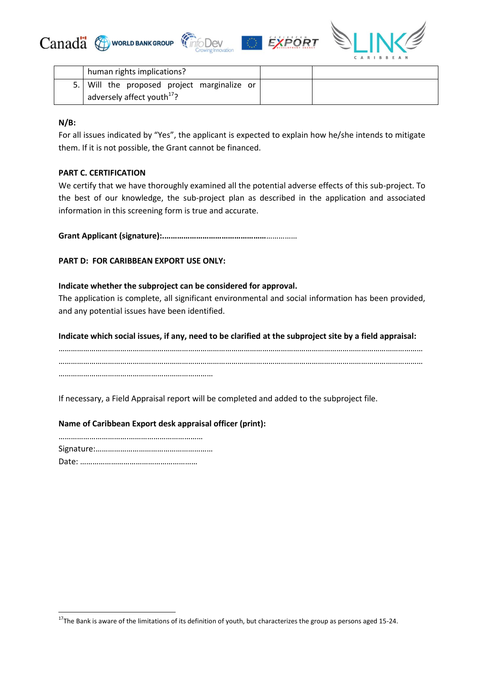





| human rights implications?                  |  |
|---------------------------------------------|--|
| 5. Will the proposed project marginalize or |  |
| adversely affect youth <sup>17</sup> ?      |  |

## **N/B:**

**.** 

For all issues indicated by "Yes", the applicant is expected to explain how he/she intends to mitigate them. If it is not possible, the Grant cannot be financed.

## **PART C. CERTIFICATION**

We certify that we have thoroughly examined all the potential adverse effects of this sub-project. To the best of our knowledge, the sub-project plan as described in the application and associated information in this screening form is true and accurate.

**Grant Applicant (signature):.…………………………………………**……………

## **PART D: FOR CARIBBEAN EXPORT USE ONLY:**

## **Indicate whether the subproject can be considered for approval.**

The application is complete, all significant environmental and social information has been provided, and any potential issues have been identified.

**Indicate which social issues, if any, need to be clarified at the subproject site by a field appraisal:**

…………………………………………………………………………………………………………………………………………………………… …………………………………………………………………………………………………………………………………………………………… …………………………………………………………………

If necessary, a Field Appraisal report will be completed and added to the subproject file.

**Name of Caribbean Export desk appraisal officer (print):**

 $17$ The Bank is aware of the limitations of its definition of youth, but characterizes the group as persons aged 15-24.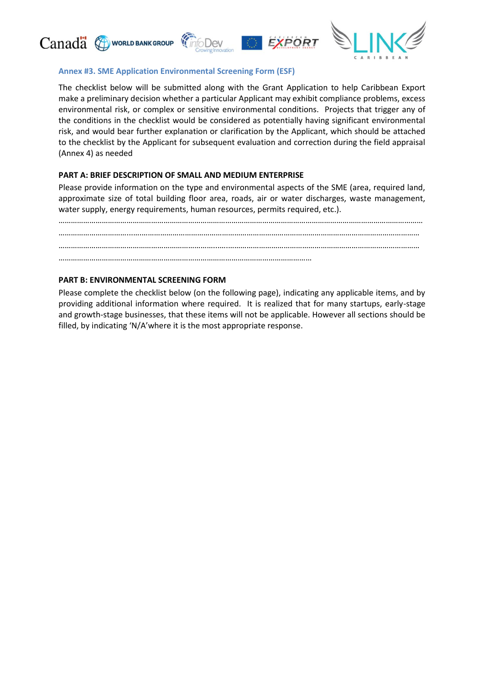





## **Annex #3. SME Application Environmental Screening Form (ESF)**

*<u>CDev</u>* 

The checklist below will be submitted along with the Grant Application to help Caribbean Export make a preliminary decision whether a particular Applicant may exhibit compliance problems, excess environmental risk, or complex or sensitive environmental conditions. Projects that trigger any of the conditions in the checklist would be considered as potentially having significant environmental risk, and would bear further explanation or clarification by the Applicant, which should be attached to the checklist by the Applicant for subsequent evaluation and correction during the field appraisal (Annex 4) as needed

## **PART A: BRIEF DESCRIPTION OF SMALL AND MEDIUM ENTERPRISE**

Please provide information on the type and environmental aspects of the SME (area, required land, approximate size of total building floor area, roads, air or water discharges, waste management, water supply, energy requirements, human resources, permits required, etc.).

…………………………………………………………………………………………………………………………………………………………… ……………………………...….……………………………………………………………………………………………………………………… …………………………………………………………………...….………………………………………………………………………………… ……………………………………………………………………………………………………………

## **PART B: ENVIRONMENTAL SCREENING FORM**

Please complete the checklist below (on the following page), indicating any applicable items, and by providing additional information where required. It is realized that for many startups, early-stage and growth-stage businesses, that these items will not be applicable. However all sections should be filled, by indicating 'N/A'where it is the most appropriate response.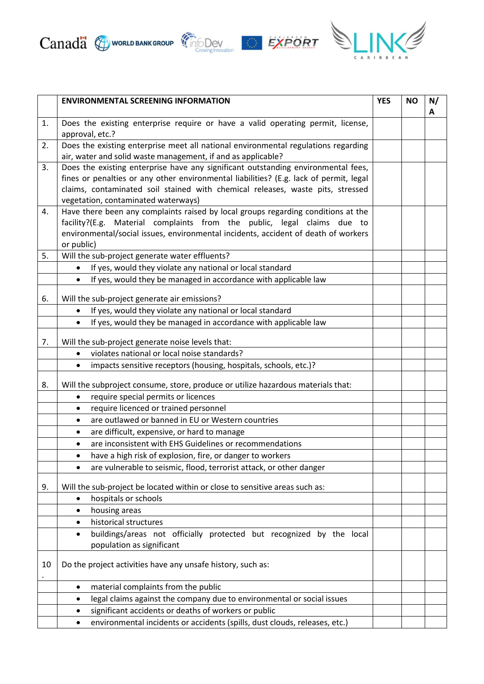



|    | <b>ENVIRONMENTAL SCREENING INFORMATION</b>                                                                                                                                                                                                                                                           |  | <b>NO</b> | N/<br>Α |
|----|------------------------------------------------------------------------------------------------------------------------------------------------------------------------------------------------------------------------------------------------------------------------------------------------------|--|-----------|---------|
| 1. | Does the existing enterprise require or have a valid operating permit, license,<br>approval, etc.?                                                                                                                                                                                                   |  |           |         |
| 2. | Does the existing enterprise meet all national environmental regulations regarding<br>air, water and solid waste management, if and as applicable?                                                                                                                                                   |  |           |         |
| 3. | Does the existing enterprise have any significant outstanding environmental fees,<br>fines or penalties or any other environmental liabilities? (E.g. lack of permit, legal<br>claims, contaminated soil stained with chemical releases, waste pits, stressed<br>vegetation, contaminated waterways) |  |           |         |
| 4. | Have there been any complaints raised by local groups regarding conditions at the<br>facility?(E.g. Material complaints from the public, legal claims due to<br>environmental/social issues, environmental incidents, accident of death of workers<br>or public)                                     |  |           |         |
| 5. | Will the sub-project generate water effluents?                                                                                                                                                                                                                                                       |  |           |         |
|    | If yes, would they violate any national or local standard                                                                                                                                                                                                                                            |  |           |         |
|    | If yes, would they be managed in accordance with applicable law<br>$\bullet$                                                                                                                                                                                                                         |  |           |         |
| 6. | Will the sub-project generate air emissions?                                                                                                                                                                                                                                                         |  |           |         |
|    | If yes, would they violate any national or local standard                                                                                                                                                                                                                                            |  |           |         |
|    | If yes, would they be managed in accordance with applicable law<br>$\bullet$                                                                                                                                                                                                                         |  |           |         |
| 7. | Will the sub-project generate noise levels that:                                                                                                                                                                                                                                                     |  |           |         |
|    | violates national or local noise standards?                                                                                                                                                                                                                                                          |  |           |         |
|    | impacts sensitive receptors (housing, hospitals, schools, etc.)?<br>$\bullet$                                                                                                                                                                                                                        |  |           |         |
| 8. | Will the subproject consume, store, produce or utilize hazardous materials that:                                                                                                                                                                                                                     |  |           |         |
|    | require special permits or licences<br>$\bullet$                                                                                                                                                                                                                                                     |  |           |         |
|    | require licenced or trained personnel<br>$\bullet$                                                                                                                                                                                                                                                   |  |           |         |
|    | are outlawed or banned in EU or Western countries<br>$\bullet$                                                                                                                                                                                                                                       |  |           |         |
|    | are difficult, expensive, or hard to manage<br>$\bullet$                                                                                                                                                                                                                                             |  |           |         |
|    | are inconsistent with EHS Guidelines or recommendations<br>$\bullet$                                                                                                                                                                                                                                 |  |           |         |
|    | have a high risk of explosion, fire, or danger to workers<br>$\bullet$                                                                                                                                                                                                                               |  |           |         |
|    | are vulnerable to seismic, flood, terrorist attack, or other danger                                                                                                                                                                                                                                  |  |           |         |
| 9. | Will the sub-project be located within or close to sensitive areas such as:                                                                                                                                                                                                                          |  |           |         |
|    | hospitals or schools<br>$\bullet$                                                                                                                                                                                                                                                                    |  |           |         |
|    | housing areas<br>$\bullet$                                                                                                                                                                                                                                                                           |  |           |         |
|    | historical structures<br>$\bullet$                                                                                                                                                                                                                                                                   |  |           |         |
|    | buildings/areas not officially protected but recognized by the local<br>$\bullet$<br>population as significant                                                                                                                                                                                       |  |           |         |
| 10 | Do the project activities have any unsafe history, such as:                                                                                                                                                                                                                                          |  |           |         |
|    | material complaints from the public<br>$\bullet$                                                                                                                                                                                                                                                     |  |           |         |
|    | legal claims against the company due to environmental or social issues<br>$\bullet$                                                                                                                                                                                                                  |  |           |         |
|    | significant accidents or deaths of workers or public                                                                                                                                                                                                                                                 |  |           |         |
|    | environmental incidents or accidents (spills, dust clouds, releases, etc.)                                                                                                                                                                                                                           |  |           |         |